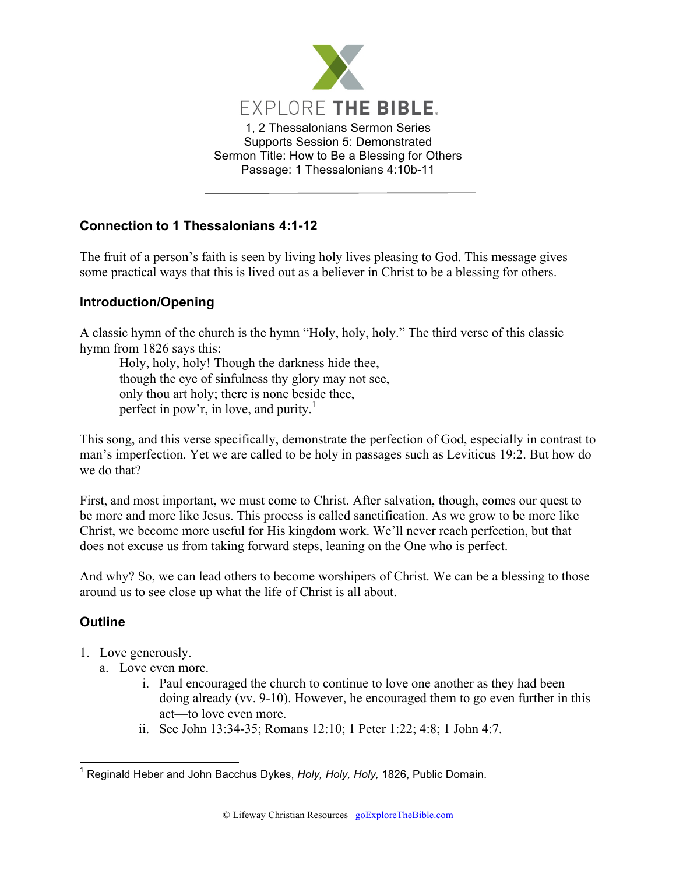

## **Connection to 1 Thessalonians 4:1-12**

The fruit of a person's faith is seen by living holy lives pleasing to God. This message gives some practical ways that this is lived out as a believer in Christ to be a blessing for others.

## **Introduction/Opening**

A classic hymn of the church is the hymn "Holy, holy, holy." The third verse of this classic hymn from 1826 says this:

Holy, holy, holy! Though the darkness hide thee, though the eye of sinfulness thy glory may not see, only thou art holy; there is none beside thee, perfect in pow'r, in love, and purity.<sup>1</sup>

This song, and this verse specifically, demonstrate the perfection of God, especially in contrast to man's imperfection. Yet we are called to be holy in passages such as Leviticus 19:2. But how do we do that?

First, and most important, we must come to Christ. After salvation, though, comes our quest to be more and more like Jesus. This process is called sanctification. As we grow to be more like Christ, we become more useful for His kingdom work. We'll never reach perfection, but that does not excuse us from taking forward steps, leaning on the One who is perfect.

And why? So, we can lead others to become worshipers of Christ. We can be a blessing to those around us to see close up what the life of Christ is all about.

## **Outline**

- 1. Love generously.
	- a. Love even more.
		- i. Paul encouraged the church to continue to love one another as they had been doing already (vv. 9-10). However, he encouraged them to go even further in this act—to love even more.
		- ii. See John 13:34-35; Romans 12:10; 1 Peter 1:22; 4:8; 1 John 4:7.

 <sup>1</sup> Reginald Heber and John Bacchus Dykes, *Holy, Holy, Holy,* 1826, Public Domain.